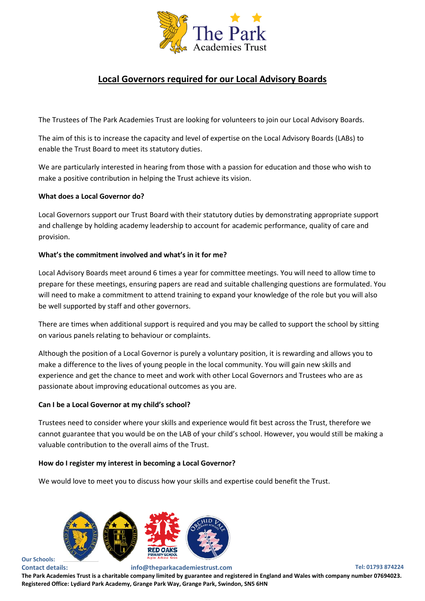

# **Local Governors required for our Local Advisory Boards**

The Trustees of The Park Academies Trust are looking for volunteers to join our Local Advisory Boards.

The aim of this is to increase the capacity and level of expertise on the Local Advisory Boards (LABs) to enable the Trust Board to meet its statutory duties.

We are particularly interested in hearing from those with a passion for education and those who wish to make a positive contribution in helping the Trust achieve its vision.

## **What does a Local Governor do?**

Local Governors support our Trust Board with their statutory duties by demonstrating appropriate support and challenge by holding academy leadership to account for academic performance, quality of care and provision.

## **What's the commitment involved and what's in it for me?**

Local Advisory Boards meet around 6 times a year for committee meetings. You will need to allow time to prepare for these meetings, ensuring papers are read and suitable challenging questions are formulated. You will need to make a commitment to attend training to expand your knowledge of the role but you will also be well supported by staff and other governors.

There are times when additional support is required and you may be called to support the school by sitting on various panels relating to behaviour or complaints.

Although the position of a Local Governor is purely a voluntary position, it is rewarding and allows you to make a difference to the lives of young people in the local community. You will gain new skills and experience and get the chance to meet and work with other Local Governors and Trustees who are as passionate about improving educational outcomes as you are.

#### **Can I be a Local Governor at my child's school?**

Trustees need to consider where your skills and experience would fit best across the Trust, therefore we cannot guarantee that you would be on the LAB of your child's school. However, you would still be making a valuable contribution to the overall aims of the Trust.

#### **How do I register my interest in becoming a Local Governor?**

We would love to meet you to discuss how your skills and expertise could benefit the Trust.



# **Our Schools:**

**Contact details: info@theparkacademiestrust.com Tel: 01793 874224**

**The Park Academies Trust is a charitable company limited by guarantee and registered in England and Wales with company number 07694023. Registered Office: Lydiard Park Academy, Grange Park Way, Grange Park, Swindon, SN5 6HN**